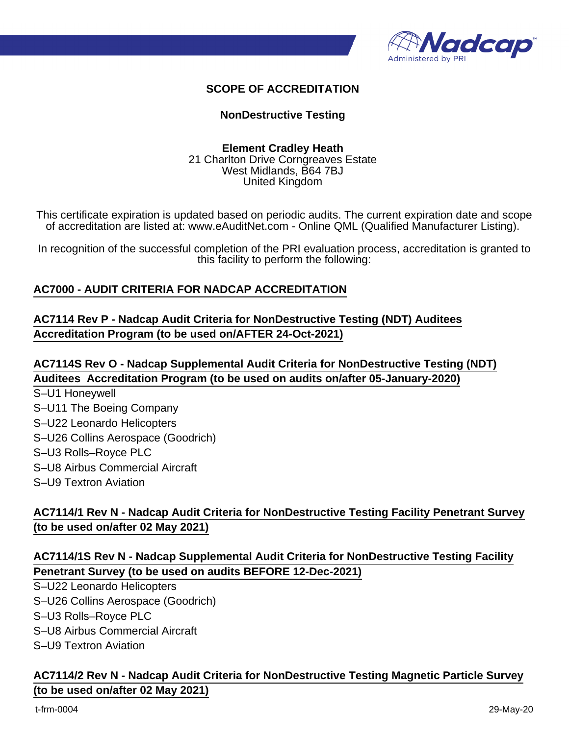

#### **SCOPE OF ACCREDITATION**

#### **NonDestructive Testing**

#### **Element Cradley Heath** 21 Charlton Drive Corngreaves Estate West Midlands, B64 7BJ United Kingdom

This certificate expiration is updated based on periodic audits. The current expiration date and scope of accreditation are listed at: www.eAuditNet.com - Online QML (Qualified Manufacturer Listing).

In recognition of the successful completion of the PRI evaluation process, accreditation is granted to this facility to perform the following:

#### **AC7000 - AUDIT CRITERIA FOR NADCAP ACCREDITATION**

### **AC7114 Rev P - Nadcap Audit Criteria for NonDestructive Testing (NDT) Auditees Accreditation Program (to be used on/AFTER 24-Oct-2021)**

#### **AC7114S Rev O - Nadcap Supplemental Audit Criteria for NonDestructive Testing (NDT) Auditees Accreditation Program (to be used on audits on/after 05-January-2020)**

- S–U1 Honeywell
- S–U11 The Boeing Company
- S–U22 Leonardo Helicopters
- S–U26 Collins Aerospace (Goodrich)
- S–U3 Rolls–Royce PLC
- S–U8 Airbus Commercial Aircraft
- S–U9 Textron Aviation

## **AC7114/1 Rev N - Nadcap Audit Criteria for NonDestructive Testing Facility Penetrant Survey (to be used on/after 02 May 2021)**

### **AC7114/1S Rev N - Nadcap Supplemental Audit Criteria for NonDestructive Testing Facility Penetrant Survey (to be used on audits BEFORE 12-Dec-2021)**

- S–U22 Leonardo Helicopters
- S–U26 Collins Aerospace (Goodrich)
- S–U3 Rolls–Royce PLC
- S–U8 Airbus Commercial Aircraft
- S–U9 Textron Aviation

### **AC7114/2 Rev N - Nadcap Audit Criteria for NonDestructive Testing Magnetic Particle Survey (to be used on/after 02 May 2021)**